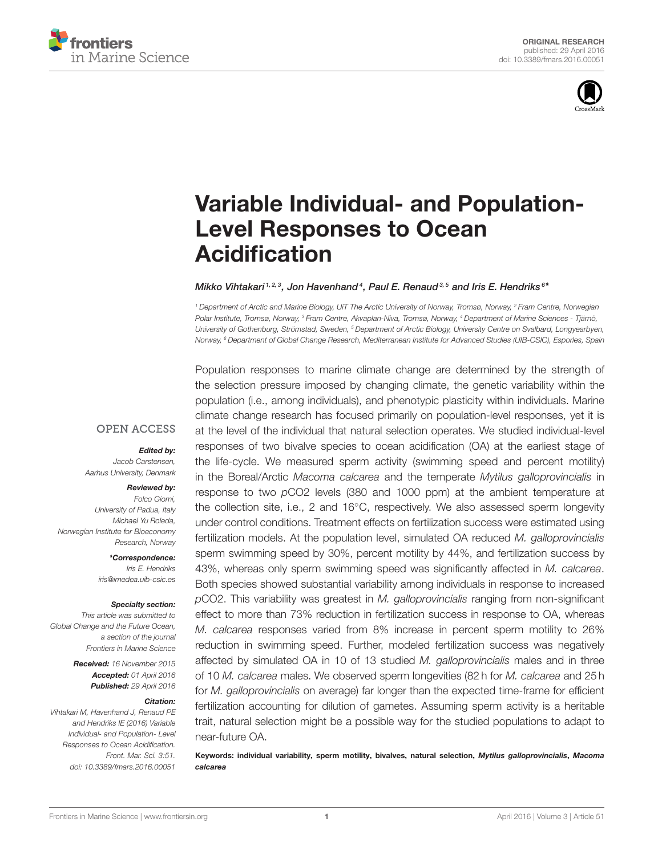



# [Variable Individual- and Population-](http://journal.frontiersin.org/article/10.3389/fmars.2016.00051/abstract)Level Responses to Ocean Acidification

#### [Mikko Vihtakari](http://loop.frontiersin.org/people/303803/overview) 1, 2, 3, [Jon Havenhand](http://loop.frontiersin.org/people/140748/overview)<sup>4</sup>, [Paul E. Renaud](http://loop.frontiersin.org/people/140689/overview) 3, 5 and [Iris E. Hendriks](http://loop.frontiersin.org/people/138670/overview) 6\*

<sup>1</sup> Department of Arctic and Marine Biology, UiT The Arctic University of Norway, Tromsø, Norway, <sup>2</sup> Fram Centre, Norwegian Polar Institute, Tromsø, Norway, <sup>3</sup> Fram Centre, Akvaplan-Niva, Tromsø, Norway, <sup>4</sup> Department of Marine Sciences - Tjärnö, University of Gothenburg, Strömstad, Sweden, <sup>5</sup> Department of Arctic Biology, University Centre on Svalbard, Longyearbyen, Norway, <sup>6</sup> Department of Global Change Research, Mediterranean Institute for Advanced Studies (UIB-CSIC), Esporles, Spain

**OPEN ACCESS** 

#### *Edited by:*

Jacob Carstensen, Aarhus University, Denmark

#### *Reviewed by:*

Folco Giomi, University of Padua, Italy Michael Yu Roleda, Norwegian Institute for Bioeconomy Research, Norway

> *\*Correspondence:* Iris E. Hendriks [iris@imedea.uib-csic.es](mailto:iris@imedea.uib-csic.es)

#### *Specialty section:*

This article was submitted to Global Change and the Future Ocean, a section of the journal Frontiers in Marine Science

> *Received:* 16 November 2015 *Accepted:* 01 April 2016 *Published:* 29 April 2016

#### *Citation:*

Vihtakari M, Havenhand J, Renaud PE and Hendriks IE (2016) Variable Individual- and Population- Level Responses to Ocean Acidification. Front. Mar. Sci. 3:51. doi: [10.3389/fmars.2016.00051](http://dx.doi.org/10.3389/fmars.2016.00051)

Population responses to marine climate change are determined by the strength of the selection pressure imposed by changing climate, the genetic variability within the population (i.e., among individuals), and phenotypic plasticity within individuals. Marine climate change research has focused primarily on population-level responses, yet it is at the level of the individual that natural selection operates. We studied individual-level responses of two bivalve species to ocean acidification (OA) at the earliest stage of the life-cycle. We measured sperm activity (swimming speed and percent motility) in the Boreal/Arctic Macoma calcarea and the temperate Mytilus galloprovincialis in response to two pCO2 levels (380 and 1000 ppm) at the ambient temperature at the collection site, i.e., 2 and 16◦C, respectively. We also assessed sperm longevity under control conditions. Treatment effects on fertilization success were estimated using fertilization models. At the population level, simulated OA reduced M. galloprovincialis sperm swimming speed by 30%, percent motility by 44%, and fertilization success by 43%, whereas only sperm swimming speed was significantly affected in M. calcarea. Both species showed substantial variability among individuals in response to increased pCO2. This variability was greatest in M. galloprovincialis ranging from non-significant effect to more than 73% reduction in fertilization success in response to OA, whereas M. calcarea responses varied from 8% increase in percent sperm motility to 26% reduction in swimming speed. Further, modeled fertilization success was negatively affected by simulated OA in 10 of 13 studied M. galloprovincialis males and in three of 10 M. calcarea males. We observed sperm longevities (82 h for M. calcarea and 25 h for *M. galloprovincialis* on average) far longer than the expected time-frame for efficient fertilization accounting for dilution of gametes. Assuming sperm activity is a heritable trait, natural selection might be a possible way for the studied populations to adapt to near-future OA.

Keywords: individual variability, sperm motility, bivalves, natural selection, *Mytilus galloprovincialis*, *Macoma calcarea*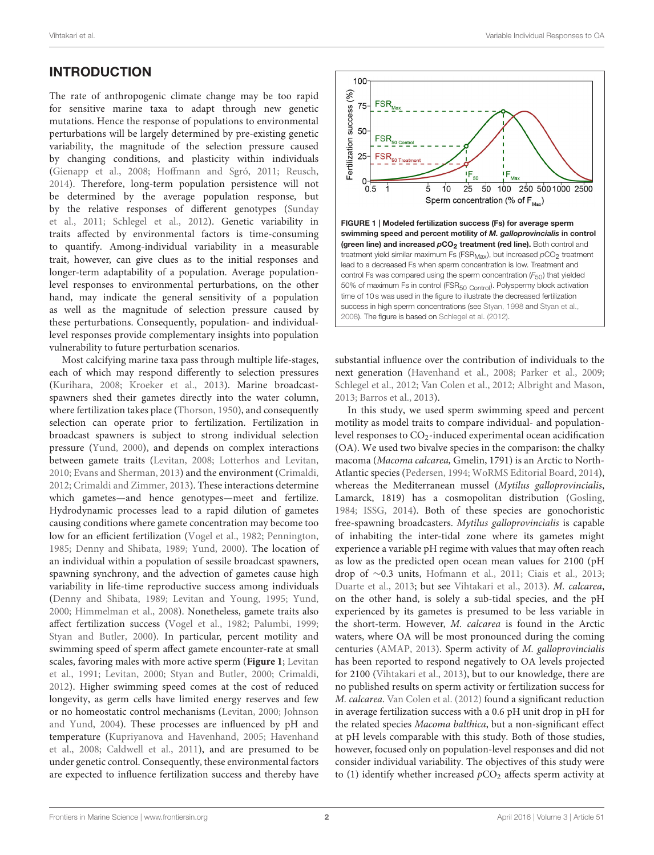# INTRODUCTION

The rate of anthropogenic climate change may be too rapid for sensitive marine taxa to adapt through new genetic mutations. Hence the response of populations to environmental perturbations will be largely determined by pre-existing genetic variability, the magnitude of the selection pressure caused by changing conditions, and plasticity within individuals [\(Gienapp et al., 2008;](#page-9-0) [Hoffmann and Sgró, 2011;](#page-9-1) [Reusch,](#page-10-0) [2014\)](#page-10-0). Therefore, long-term population persistence will not be determined by the average population response, but by the relative responses of different genotypes (Sunday et al., [2011;](#page-10-1) [Schlegel et al., 2012\)](#page-10-2). Genetic variability in traits affected by environmental factors is time-consuming to quantify. Among-individual variability in a measurable trait, however, can give clues as to the initial responses and longer-term adaptability of a population. Average populationlevel responses to environmental perturbations, on the other hand, may indicate the general sensitivity of a population as well as the magnitude of selection pressure caused by these perturbations. Consequently, population- and individuallevel responses provide complementary insights into population vulnerability to future perturbation scenarios.

Most calcifying marine taxa pass through multiple life-stages, each of which may respond differently to selection pressures [\(Kurihara, 2008;](#page-9-2) [Kroeker et al., 2013\)](#page-9-3). Marine broadcastspawners shed their gametes directly into the water column, where fertilization takes place [\(Thorson, 1950\)](#page-10-3), and consequently selection can operate prior to fertilization. Fertilization in broadcast spawners is subject to strong individual selection pressure [\(Yund, 2000\)](#page-10-4), and depends on complex interactions between gamete traits [\(Levitan, 2008;](#page-9-4) [Lotterhos and Levitan,](#page-9-5) [2010;](#page-9-5) [Evans and Sherman, 2013\)](#page-9-6) and the environment [\(Crimaldi,](#page-9-7) [2012;](#page-9-7) [Crimaldi and Zimmer, 2013\)](#page-9-8). These interactions determine which gametes—and hence genotypes—meet and fertilize. Hydrodynamic processes lead to a rapid dilution of gametes causing conditions where gamete concentration may become too low for an efficient fertilization [\(Vogel et al., 1982;](#page-10-5) [Pennington,](#page-10-6) [1985;](#page-10-6) [Denny and Shibata, 1989;](#page-9-9) [Yund, 2000\)](#page-10-4). The location of an individual within a population of sessile broadcast spawners, spawning synchrony, and the advection of gametes cause high variability in life-time reproductive success among individuals [\(Denny and Shibata, 1989;](#page-9-9) [Levitan and Young, 1995;](#page-9-10) [Yund,](#page-10-4) [2000;](#page-10-4) [Himmelman et al., 2008\)](#page-9-11). Nonetheless, gamete traits also affect fertilization success [\(Vogel et al., 1982;](#page-10-5) [Palumbi, 1999;](#page-10-7) [Styan and Butler, 2000\)](#page-10-8). In particular, percent motility and swimming speed of sperm affect gamete encounter-rate at small scales, favoring males with more active sperm (**[Figure 1](#page-1-0)**; Levitan et al., [1991;](#page-9-12) [Levitan, 2000;](#page-9-13) [Styan and Butler, 2000;](#page-10-8) [Crimaldi,](#page-9-7) [2012\)](#page-9-7). Higher swimming speed comes at the cost of reduced longevity, as germ cells have limited energy reserves and few or no homeostatic control mechanisms [\(Levitan, 2000;](#page-9-13) Johnson and Yund, [2004\)](#page-9-14). These processes are influenced by pH and temperature [\(Kupriyanova and Havenhand, 2005;](#page-9-15) Havenhand et al., [2008;](#page-9-16) [Caldwell et al., 2011\)](#page-9-17), and are presumed to be under genetic control. Consequently, these environmental factors are expected to influence fertilization success and thereby have



<span id="page-1-0"></span>substantial influence over the contribution of individuals to the next generation [\(Havenhand et al., 2008;](#page-9-16) [Parker et al., 2009;](#page-10-11) [Schlegel et al., 2012;](#page-10-2) [Van Colen et al., 2012;](#page-10-12) [Albright and Mason,](#page-8-0) [2013;](#page-8-0) [Barros et al., 2013\)](#page-8-1).

In this study, we used sperm swimming speed and percent motility as model traits to compare individual- and populationlevel responses to  $CO<sub>2</sub>$ -induced experimental ocean acidification (OA). We used two bivalve species in the comparison: the chalky macoma (Macoma calcarea, Gmelin, 1791) is an Arctic to North-Atlantic species [\(Pedersen, 1994;](#page-10-13) [WoRMS Editorial Board, 2014\)](#page-10-14), whereas the Mediterranean mussel (Mytilus galloprovincialis, Lamarck, 1819) has a cosmopolitan distribution [\(Gosling,](#page-9-18) [1984;](#page-9-18) [ISSG, 2014\)](#page-9-19). Both of these species are gonochoristic free-spawning broadcasters. Mytilus galloprovincialis is capable of inhabiting the inter-tidal zone where its gametes might experience a variable pH regime with values that may often reach as low as the predicted open ocean mean values for 2100 (pH drop of ∼0.3 units, [Hofmann et al., 2011;](#page-9-20) [Ciais et al., 2013;](#page-9-21) [Duarte et al., 2013;](#page-9-22) but see [Vihtakari et al., 2013\)](#page-10-15). M. calcarea, on the other hand, is solely a sub-tidal species, and the pH experienced by its gametes is presumed to be less variable in the short-term. However, M. calcarea is found in the Arctic waters, where OA will be most pronounced during the coming centuries [\(AMAP, 2013\)](#page-8-2). Sperm activity of M. galloprovincialis has been reported to respond negatively to OA levels projected for 2100 [\(Vihtakari et al., 2013\)](#page-10-15), but to our knowledge, there are no published results on sperm activity or fertilization success for M. calcarea. [Van Colen et al. \(2012\)](#page-10-12) found a significant reduction in average fertilization success with a 0.6 pH unit drop in pH for the related species Macoma balthica, but a non-significant effect at pH levels comparable with this study. Both of those studies, however, focused only on population-level responses and did not consider individual variability. The objectives of this study were to (1) identify whether increased  $pCO<sub>2</sub>$  affects sperm activity at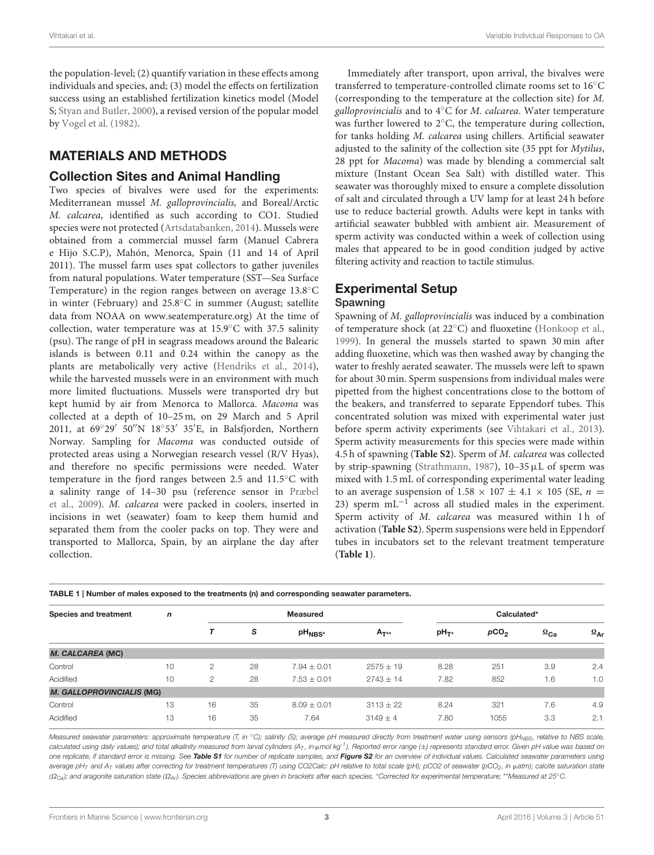the population-level; (2) quantify variation in these effects among individuals and species, and; (3) model the effects on fertilization success using an established fertilization kinetics model (Model S; [Styan and Butler, 2000\)](#page-10-8), a revised version of the popular model by [Vogel et al. \(1982\)](#page-10-5).

## MATERIALS AND METHODS

#### Collection Sites and Animal Handling

Two species of bivalves were used for the experiments: Mediterranean mussel M. galloprovincialis, and Boreal/Arctic M. calcarea, identified as such according to CO1. Studied species were not protected [\(Artsdatabanken, 2014\)](#page-8-3). Mussels were obtained from a commercial mussel farm (Manuel Cabrera e Hijo S.C.P), Mahón, Menorca, Spain (11 and 14 of April 2011). The mussel farm uses spat collectors to gather juveniles from natural populations. Water temperature (SST—Sea Surface Temperature) in the region ranges between on average 13.8◦C in winter (February) and 25.8◦C in summer (August; satellite data from NOAA on [www.seatemperature.org\)](http://www.seatemperature.org) At the time of collection, water temperature was at 15.9◦C with 37.5 salinity (psu). The range of pH in seagrass meadows around the Balearic islands is between 0.11 and 0.24 within the canopy as the plants are metabolically very active [\(Hendriks et al., 2014\)](#page-9-23), while the harvested mussels were in an environment with much more limited fluctuations. Mussels were transported dry but kept humid by air from Menorca to Mallorca. Macoma was collected at a depth of 10–25 m, on 29 March and 5 April 2011, at 69◦ 29′ 50′′N 18◦ 53′ 35′E, in Balsfjorden, Northern Norway. Sampling for Macoma was conducted outside of protected areas using a Norwegian research vessel (R/V Hyas), and therefore no specific permissions were needed. Water temperature in the fjord ranges between 2.5 and 11.5◦C with a salinity range of 14–30 psu (reference sensor in Præbel et al., [2009\)](#page-10-16). M. calcarea were packed in coolers, inserted in incisions in wet (seawater) foam to keep them humid and separated them from the cooler packs on top. They were and transported to Mallorca, Spain, by an airplane the day after collection.

Immediately after transport, upon arrival, the bivalves were transferred to temperature-controlled climate rooms set to 16 ◦C (corresponding to the temperature at the collection site) for M. galloprovincialis and to  $4^{\circ}$ C for *M. calcarea*. Water temperature was further lowered to 2◦C, the temperature during collection, for tanks holding M. calcarea using chillers. Artificial seawater adjusted to the salinity of the collection site (35 ppt for Mytilus, 28 ppt for Macoma) was made by blending a commercial salt mixture (Instant Ocean Sea Salt) with distilled water. This seawater was thoroughly mixed to ensure a complete dissolution of salt and circulated through a UV lamp for at least 24 h before use to reduce bacterial growth. Adults were kept in tanks with artificial seawater bubbled with ambient air. Measurement of sperm activity was conducted within a week of collection using males that appeared to be in good condition judged by active filtering activity and reaction to tactile stimulus.

# Experimental Setup

#### Spawning

Spawning of M. galloprovincialis was induced by a combination of temperature shock (at 22◦C) and fluoxetine [\(Honkoop et al.,](#page-9-24) [1999\)](#page-9-24). In general the mussels started to spawn 30 min after adding fluoxetine, which was then washed away by changing the water to freshly aerated seawater. The mussels were left to spawn for about 30 min. Sperm suspensions from individual males were pipetted from the highest concentrations close to the bottom of the beakers, and transferred to separate Eppendorf tubes. This concentrated solution was mixed with experimental water just before sperm activity experiments (see [Vihtakari et al., 2013\)](#page-10-15). Sperm activity measurements for this species were made within 4.5 h of spawning (**[Table S2](#page-8-4)**). Sperm of M. calcarea was collected by strip-spawning [\(Strathmann, 1987\)](#page-10-17),  $10-35 \mu L$  of sperm was mixed with 1.5 mL of corresponding experimental water leading to an average suspension of 1.58  $\times$  107  $\pm$  4.1  $\times$  105 (SE,  $n =$ 23) sperm mL<sup>-1</sup> across all studied males in the experiment. Sperm activity of M. calcarea was measured within 1h of activation (**[Table S2](#page-8-4)**). Sperm suspensions were held in Eppendorf tubes in incubators set to the relevant treatment temperature (**[Table 1](#page-2-0)**).

| Species and treatment            | $\mathsf{n}$ |               |    | <b>Measured</b>    | Calculated*   |                  |                  |                      |                   |  |  |  |
|----------------------------------|--------------|---------------|----|--------------------|---------------|------------------|------------------|----------------------|-------------------|--|--|--|
|                                  |              |               | s  | pH <sub>NBS*</sub> | $A_{T**}$     | pH <sub>T*</sub> | pCO <sub>2</sub> | $\Omega_{\text{Ca}}$ | $\Omega_{\rm Ar}$ |  |  |  |
| <b>M. CALCAREA (MC)</b>          |              |               |    |                    |               |                  |                  |                      |                   |  |  |  |
| Control                          | 10           | 2             | 28 | $7.94 + 0.01$      | $2575 \pm 19$ | 8.28             | 251              | 3.9                  | 2.4               |  |  |  |
| Acidified                        | 10           | $\mathcal{P}$ | 28 | $7.53 + 0.01$      | $2743 + 14$   | 7.82             | 852              | 1.6                  | 1.0               |  |  |  |
| <b>M. GALLOPROVINCIALIS (MG)</b> |              |               |    |                    |               |                  |                  |                      |                   |  |  |  |
| Control                          | 13           | 16            | 35 | $8.09 + 0.01$      | $3113 + 22$   | 8.24             | 321              | 7.6                  | 4.9               |  |  |  |
| Acidified                        | 13           | 16            | 35 | 7.64               | $3149 + 4$    | 7.80             | 1055             | 3.3                  | 2.1               |  |  |  |
|                                  |              |               |    |                    |               |                  |                  |                      |                   |  |  |  |

<span id="page-2-0"></span>TABLE 1 | Number of males exposed to the treatments (n) and corresponding seawater parameters.

Measured seawater parameters: approximate temperature (T, in °C); salinity (S); average pH measured directly from treatment water using sensors (pH<sub>NBS</sub>, relative to NBS scale, calculated using daily values); and total alkalinity measured from larval cylinders  $(A_T$ , in  $\mu$ mol kg<sup>-1</sup>). Reported error range  $(\pm)$  represents standard error. Given pH value was based on one replicate, if standard error is missing. See *[Table S1](#page-8-5)* for number of replicate samples, and *[Figure S2](#page-8-6)* for an overview of individual values. Calculated seawater parameters using average pH<sub>T</sub> and A<sub>T</sub> values after correcting for treatment temperatures (T) using CO2Calc: pH relative to total scale (pH); pCO2 of seawater (pCO<sub>2</sub>, in µatm); calcite saturation state (Ω<sub>Ca</sub>); and aragonite saturation state (Ω<sub>Ar</sub>). Species abbreviations are given in brackets after each species. \*Corrected for experimental temperature; \*\*Measured at 25°C.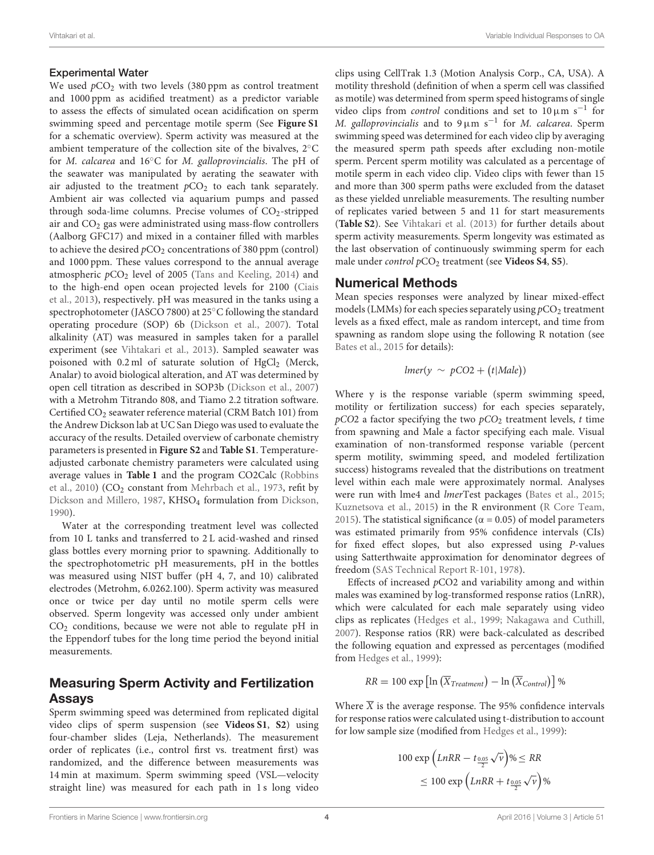#### Experimental Water

We used  $pCO<sub>2</sub>$  with two levels (380 ppm as control treatment and 1000 ppm as acidified treatment) as a predictor variable to assess the effects of simulated ocean acidification on sperm swimming speed and percentage motile sperm (See **Figure S1** for a schematic overview). Sperm activity was measured at the ambient temperature of the collection site of the bivalves, 2◦C for M. calcarea and 16◦C for M. galloprovincialis. The pH of the seawater was manipulated by aerating the seawater with air adjusted to the treatment  $pCO<sub>2</sub>$  to each tank separately. Ambient air was collected via aquarium pumps and passed through soda-lime columns. Precise volumes of  $CO<sub>2</sub>$ -stripped air and CO<sup>2</sup> gas were administrated using mass-flow controllers (Aalborg GFC17) and mixed in a container filled with marbles to achieve the desired  $pCO_2$  concentrations of 380 ppm (control) and 1000 ppm. These values correspond to the annual average atmospheric  $pCO<sub>2</sub>$  level of 2005 [\(Tans and Keeling, 2014\)](#page-10-18) and to the high-end open ocean projected levels for 2100 (Ciais et al., [2013\)](#page-9-21), respectively. pH was measured in the tanks using a spectrophotometer (JASCO 7800) at 25◦C following the standard operating procedure (SOP) 6b [\(Dickson et al., 2007\)](#page-9-25). Total alkalinity (AT) was measured in samples taken for a parallel experiment (see [Vihtakari et al., 2013\)](#page-10-15). Sampled seawater was poisoned with 0.2 ml of saturate solution of HgCl<sub>2</sub> (Merck, Analar) to avoid biological alteration, and AT was determined by open cell titration as described in SOP3b [\(Dickson et al., 2007\)](#page-9-25) with a Metrohm Titrando 808, and Tiamo 2.2 titration software. Certified CO<sub>2</sub> seawater reference material (CRM Batch 101) from the Andrew Dickson lab at UC San Diego was used to evaluate the accuracy of the results. Detailed overview of carbonate chemistry parameters is presented in **Figure S2** and **[Table S1](#page-8-5)**. Temperatureadjusted carbonate chemistry parameters were calculated using average values in **[Table 1](#page-2-0)** and the program CO2Calc (Robbins et al., [2010\)](#page-10-19) (CO<sub>2</sub> constant from [Mehrbach et al., 1973,](#page-9-26) refit by [Dickson and Millero, 1987,](#page-9-27) KHSO<sub>4</sub> formulation from [Dickson,](#page-9-28) [1990\)](#page-9-28).

Water at the corresponding treatment level was collected from 10 L tanks and transferred to 2 L acid-washed and rinsed glass bottles every morning prior to spawning. Additionally to the spectrophotometric pH measurements, pH in the bottles was measured using NIST buffer (pH 4, 7, and 10) calibrated electrodes (Metrohm, 6.0262.100). Sperm activity was measured once or twice per day until no motile sperm cells were observed. Sperm longevity was accessed only under ambient  $CO<sub>2</sub>$  conditions, because we were not able to regulate pH in the Eppendorf tubes for the long time period the beyond initial measurements.

### Measuring Sperm Activity and Fertilization Assays

Sperm swimming speed was determined from replicated digital video clips of sperm suspension (see **[Videos S1](#page-8-7)**, **[S2](#page-8-8)**) using four-chamber slides (Leja, Netherlands). The measurement order of replicates (i.e., control first vs. treatment first) was randomized, and the difference between measurements was 14 min at maximum. Sperm swimming speed (VSL—velocity straight line) was measured for each path in 1 s long video clips using CellTrak 1.3 (Motion Analysis Corp., CA, USA). A motility threshold (definition of when a sperm cell was classified as motile) was determined from sperm speed histograms of single video clips from *control* conditions and set to  $10 \mu m s^{-1}$  for M. galloprovincialis and to  $9 \mu m s^{-1}$  for M. calcarea. Sperm swimming speed was determined for each video clip by averaging the measured sperm path speeds after excluding non-motile sperm. Percent sperm motility was calculated as a percentage of motile sperm in each video clip. Video clips with fewer than 15 and more than 300 sperm paths were excluded from the dataset as these yielded unreliable measurements. The resulting number of replicates varied between 5 and 11 for start measurements (**[Table S2](#page-8-4)**). See [Vihtakari et al. \(2013\)](#page-10-15) for further details about sperm activity measurements. Sperm longevity was estimated as the last observation of continuously swimming sperm for each male under *control* pCO<sub>2</sub> treatment (see [Videos S4](#page-8-9), [S5](#page-8-10)).

#### Numerical Methods

Mean species responses were analyzed by linear mixed-effect models (LMMs) for each species separately using  $pCO<sub>2</sub>$  treatment levels as a fixed effect, male as random intercept, and time from spawning as random slope using the following R notation (see [Bates et al., 2015](#page-8-11) for details):

$$
lmer(y \sim pCO2 + (t | Male))
$$

Where y is the response variable (sperm swimming speed, motility or fertilization success) for each species separately,  $pCO2$  a factor specifying the two  $pCO<sub>2</sub>$  treatment levels, t time from spawning and Male a factor specifying each male. Visual examination of non-transformed response variable (percent sperm motility, swimming speed, and modeled fertilization success) histograms revealed that the distributions on treatment level within each male were approximately normal. Analyses were run with lme4 and lmerTest packages [\(Bates et al., 2015;](#page-8-11) [Kuznetsova et al., 2015\)](#page-9-29) in the R environment [\(R Core Team,](#page-10-20) [2015\)](#page-10-20). The statistical significance ( $\alpha$  = 0.05) of model parameters was estimated primarily from 95% confidence intervals (CIs) for fixed effect slopes, but also expressed using P-values using Satterthwaite approximation for denominator degrees of freedom [\(SAS Technical Report R-101, 1978\)](#page-10-21).

Effects of increased  $pCO2$  and variability among and within males was examined by log-transformed response ratios (LnRR), which were calculated for each male separately using video clips as replicates [\(Hedges et al., 1999;](#page-9-30) [Nakagawa and Cuthill,](#page-10-22) [2007\)](#page-10-22). Response ratios (RR) were back-calculated as described the following equation and expressed as percentages (modified from [Hedges et al., 1999\)](#page-9-30):

$$
RR = 100 \exp \left[ \ln \left( \overline{X}_{Treatment} \right) - \ln \left( \overline{X}_{Control} \right) \right] \%
$$

Where  $\overline{X}$  is the average response. The 95% confidence intervals for response ratios were calculated using t-distribution to account for low sample size (modified from [Hedges et al., 1999\)](#page-9-30):

$$
100 \exp \left( LnRR - t_{\frac{0.05}{2}} \sqrt{\nu} \right) \% \leq RR
$$
  

$$
\leq 100 \exp \left( LnRR + t_{\frac{0.05}{2}} \sqrt{\nu} \right) \%
$$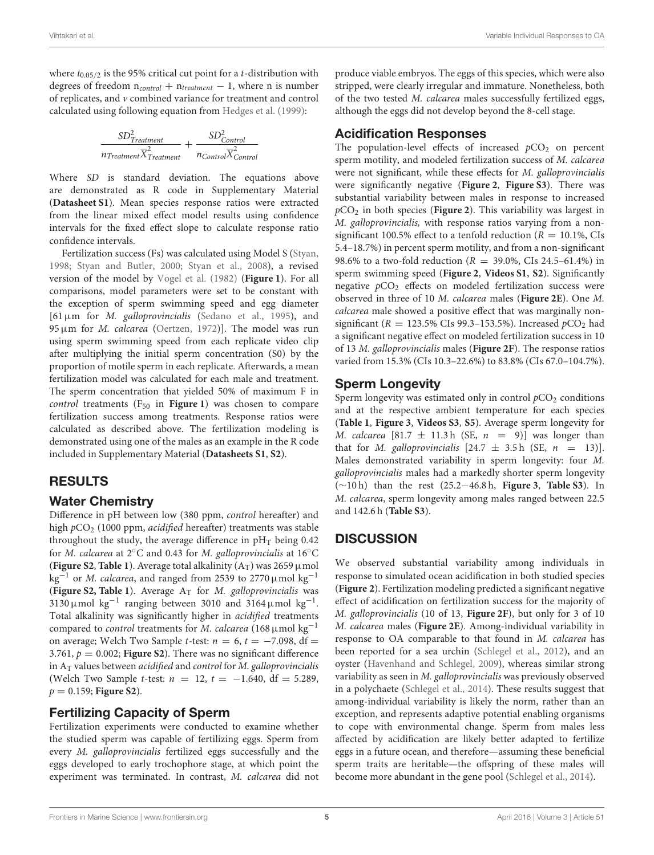where  $t_{0.05/2}$  is the 95% critical cut point for a *t*-distribution with degrees of freedom  $n_{control} + n_{treatment} - 1$ , where n is number of replicates, and v combined variance for treatment and control calculated using following equation from [Hedges et al. \(1999\)](#page-9-30):

$$
\frac{SD_{Treatment}^2}{n_{Treatment} \overline{X}_{Treatment}^2} + \frac{SD_{Control}^2}{n_{Control} \overline{X}_{Control}^2}
$$

Where SD is standard deviation. The equations above are demonstrated as R code in Supplementary Material (**[Datasheet S1](#page-8-12)**). Mean species response ratios were extracted from the linear mixed effect model results using confidence intervals for the fixed effect slope to calculate response ratio confidence intervals.

Fertilization success (Fs) was calculated using Model S [\(Styan,](#page-10-9) [1998;](#page-10-9) [Styan and Butler, 2000;](#page-10-8) [Styan et al., 2008\)](#page-10-10), a revised version of the model by [Vogel et al. \(1982\)](#page-10-5) (**[Figure 1](#page-1-0)**). For all comparisons, model parameters were set to be constant with the exception of sperm swimming speed and egg diameter  $[61 \,\mu \text{m}$  for *M. galloprovincialis* [\(Sedano et al., 1995\)](#page-10-23), and 95µm for M. calcarea [\(Oertzen, 1972\)](#page-10-24)]. The model was run using sperm swimming speed from each replicate video clip after multiplying the initial sperm concentration (S0) by the proportion of motile sperm in each replicate. Afterwards, a mean fertilization model was calculated for each male and treatment. The sperm concentration that yielded 50% of maximum F in control treatments  $(F_{50}$  in **[Figure 1](#page-1-0)**) was chosen to compare fertilization success among treatments. Response ratios were calculated as described above. The fertilization modeling is demonstrated using one of the males as an example in the R code included in Supplementary Material (**[Datasheets S1](#page-8-12)**, **[S2](#page-8-13)**).

### RESULTS

### Water Chemistry

Difference in pH between low (380 ppm, control hereafter) and high  $pCO<sub>2</sub>$  (1000 ppm, acidified hereafter) treatments was stable throughout the study, the average difference in  $pH_T$  being 0.42 for M. calcarea at 2◦C and 0.43 for M. galloprovincialis at 16◦C (**[Figure S2](#page-8-6)**, **[Table 1](#page-2-0)**). Average total alkalinity  $(A_T)$  was 2659  $\mu$  mol kg<sup>-1</sup> or *M. calcarea*, and ranged from 2539 to 2770 µmol kg<sup>-1</sup> (**[Figure S2, Table 1](#page-8-6)**). Average  $A_T$  for *M. galloprovincialis* was 3130 µmol  $kg^{-1}$  ranging between 3010 and 3164 µmol  $kg^{-1}$ . Total alkalinity was significantly higher in acidified treatments compared to *control* treatments for M. calcarea (168 $\mu$ mol kg<sup>-1</sup> on average; Welch Two Sample t-test:  $n = 6$ ,  $t = -7.098$ , df = 3.761,  $p = 0.002$ ; **Figure S2**). There was no significant difference in  $A_T$  values between *acidified* and *control* for *M. galloprovincialis* (Welch Two Sample *t*-test:  $n = 12$ ,  $t = -1.640$ , df = 5.289,  $p = 0.159$ ; **Figure S2**).

### Fertilizing Capacity of Sperm

Fertilization experiments were conducted to examine whether the studied sperm was capable of fertilizing eggs. Sperm from every M. galloprovincialis fertilized eggs successfully and the eggs developed to early trochophore stage, at which point the experiment was terminated. In contrast, M. calcarea did not produce viable embryos. The eggs of this species, which were also stripped, were clearly irregular and immature. Nonetheless, both of the two tested M. calcarea males successfully fertilized eggs, although the eggs did not develop beyond the 8-cell stage.

### Acidification Responses

The population-level effects of increased  $pCO<sub>2</sub>$  on percent sperm motility, and modeled fertilization success of M. calcarea were not significant, while these effects for M. galloprovincialis were significantly negative (**[Figure 2](#page-5-0)**, **[Figure S3](#page-8-14)**). There was substantial variability between males in response to increased  $pCO<sub>2</sub>$  in both species (**[Figure 2](#page-5-0)**). This variability was largest in M. galloprovincialis, with response ratios varying from a nonsignificant 100.5% effect to a tenfold reduction ( $R = 10.1$ %, CIs 5.4–18.7%) in percent sperm motility, and from a non-significant 98.6% to a two-fold reduction ( $R = 39.0$ %, CIs 24.5–61.4%) in sperm swimming speed (**[Figure 2](#page-5-0)**, **[Videos S1](#page-8-7)**, **[S2](#page-8-8)**). Significantly negative  $pCO<sub>2</sub>$  effects on modeled fertilization success were observed in three of 10 M. calcarea males (**[Figure 2E](#page-5-0)**). One M. calcarea male showed a positive effect that was marginally nonsignificant ( $R = 123.5\%$  CIs 99.3–153.5%). Increased  $pCO<sub>2</sub>$  had a significant negative effect on modeled fertilization success in 10 of 13 M. galloprovincialis males (**[Figure 2F](#page-5-0)**). The response ratios varied from 15.3% (CIs 10.3–22.6%) to 83.8% (CIs 67.0–104.7%).

### Sperm Longevity

Sperm longevity was estimated only in control  $pCO<sub>2</sub>$  conditions and at the respective ambient temperature for each species (**[Table 1](#page-2-0)**, **[Figure 3](#page-6-0)**, **[Videos S3](#page-8-15)**, **[S5](#page-8-10)**). Average sperm longevity for M. calcarea [81.7  $\pm$  11.3 h (SE, n = 9)] was longer than that for *M. galloprovincialis*  $[24.7 \pm 3.5 \, \text{h} \, \text{(SE, } n = 13)]$ . Males demonstrated variability in sperm longevity: four M. galloprovincialis males had a markedly shorter sperm longevity (∼10 h) than the rest (25.2−46.8 h, **[Figure 3](#page-6-0)**, **[Table S3](#page-8-16)**). In M. calcarea, sperm longevity among males ranged between 22.5 and 142.6 h (**[Table S3](#page-8-16)**).

# **DISCUSSION**

We observed substantial variability among individuals in response to simulated ocean acidification in both studied species (**[Figure 2](#page-5-0)**). Fertilization modeling predicted a significant negative effect of acidification on fertilization success for the majority of M. galloprovincialis (10 of 13, **[Figure 2F](#page-5-0)**), but only for 3 of 10 M. calcarea males (**[Figure 2E](#page-5-0)**). Among-individual variability in response to OA comparable to that found in M. calcarea has been reported for a sea urchin [\(Schlegel et al., 2012\)](#page-10-2), and an oyster [\(Havenhand and Schlegel, 2009\)](#page-9-31), whereas similar strong variability as seen in M. galloprovincialis was previously observed in a polychaete [\(Schlegel et al., 2014\)](#page-10-25). These results suggest that among-individual variability is likely the norm, rather than an exception, and represents adaptive potential enabling organisms to cope with environmental change. Sperm from males less affected by acidification are likely better adapted to fertilize eggs in a future ocean, and therefore—assuming these beneficial sperm traits are heritable—the offspring of these males will become more abundant in the gene pool [\(Schlegel et al., 2014\)](#page-10-25).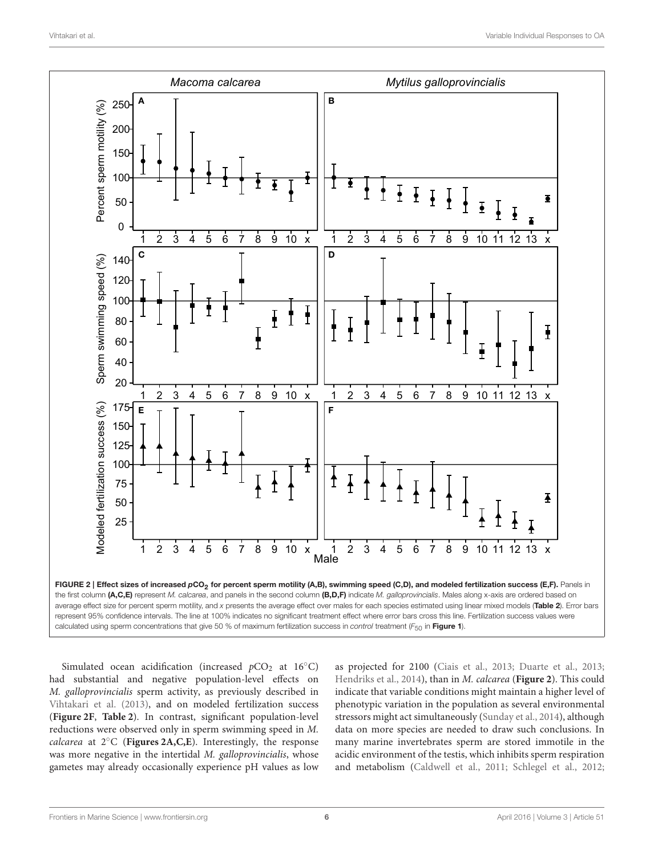

<span id="page-5-0"></span>Simulated ocean acidification (increased  $pCO<sub>2</sub>$  at 16 $°C$ ) had substantial and negative population-level effects on M. galloprovincialis sperm activity, as previously described in [Vihtakari et al. \(2013\)](#page-10-15), and on modeled fertilization success (**[Figure 2F](#page-5-0)**, **[Table 2](#page-6-1)**). In contrast, significant population-level reductions were observed only in sperm swimming speed in M. calcarea at 2◦C (**[Figures 2A,C,E](#page-5-0)**). Interestingly, the response was more negative in the intertidal M. galloprovincialis, whose gametes may already occasionally experience pH values as low as projected for 2100 [\(Ciais et al., 2013;](#page-9-21) [Duarte et al., 2013;](#page-9-22) [Hendriks et al., 2014\)](#page-9-23), than in M. calcarea (**[Figure 2](#page-5-0)**). This could indicate that variable conditions might maintain a higher level of phenotypic variation in the population as several environmental stressors might act simultaneously [\(Sunday et al., 2014\)](#page-10-26), although data on more species are needed to draw such conclusions. In many marine invertebrates sperm are stored immotile in the acidic environment of the testis, which inhibits sperm respiration and metabolism [\(Caldwell et al., 2011;](#page-9-17) [Schlegel et al., 2012;](#page-10-2)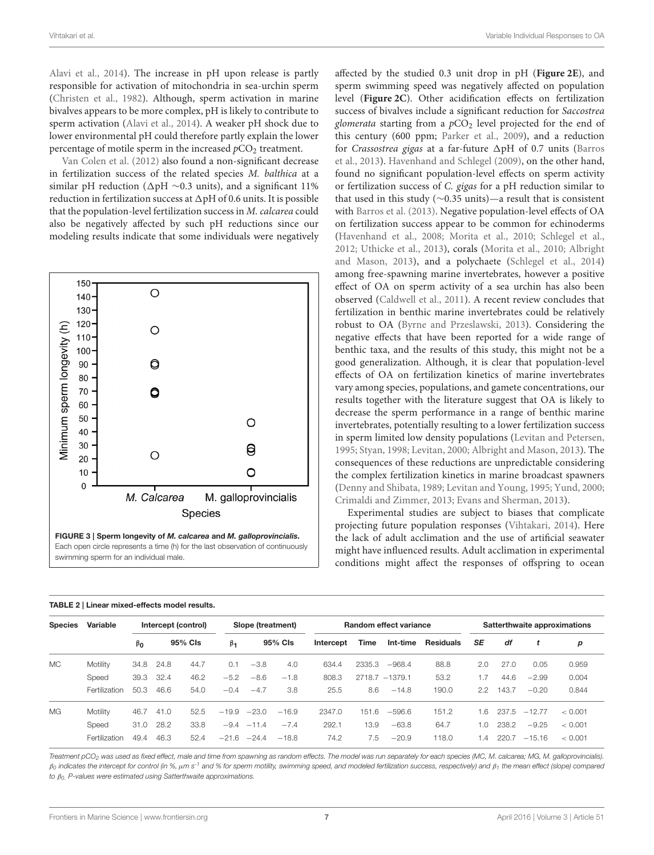Vihtakari et al. Variable Individual Responses to OA

[Alavi et al., 2014\)](#page-8-17). The increase in pH upon release is partly responsible for activation of mitochondria in sea-urchin sperm [\(Christen et al., 1982\)](#page-9-32). Although, sperm activation in marine bivalves appears to be more complex, pH is likely to contribute to sperm activation [\(Alavi et al., 2014\)](#page-8-17). A weaker pH shock due to lower environmental pH could therefore partly explain the lower percentage of motile sperm in the increased  $pCO<sub>2</sub>$  treatment.

[Van Colen et al. \(2012\)](#page-10-12) also found a non-significant decrease in fertilization success of the related species M. balthica at a similar pH reduction ( $\Delta$ pH ∼0.3 units), and a significant 11% reduction in fertilization success at  $\Delta pH$  of 0.6 units. It is possible that the population-level fertilization success in M. calcarea could also be negatively affected by such pH reductions since our modeling results indicate that some individuals were negatively



| affected by the studied 0.3 unit drop in pH (Figure 2E), and             |
|--------------------------------------------------------------------------|
| sperm swimming speed was negatively affected on population               |
| level (Figure 2C). Other acidification effects on fertilization          |
| success of bivalves include a significant reduction for Saccostrea       |
| glomerata starting from a $pCO2$ level projected for the end of          |
| this century (600 ppm; Parker et al., 2009), and a reduction             |
| for Crassostrea gigas at a far-future ∆pH of 0.7 units (Barros           |
| et al., 2013). Havenhand and Schlegel (2009), on the other hand,         |
| found no significant population-level effects on sperm activity          |
| or fertilization success of C. gigas for a pH reduction similar to       |
| that used in this study ( $\sim$ 0.35 units)—a result that is consistent |
| with Barros et al. (2013). Negative population-level effects of OA       |
| on fertilization success appear to be common for echinoderms             |
| (Havenhand et al., 2008; Morita et al., 2010; Schlegel et al.,           |
| 2012; Uthicke et al., 2013), corals (Morita et al., 2010; Albright       |
| and Mason, 2013), and a polychaete (Schlegel et al., 2014)               |
| among free-spawning marine invertebrates, however a positive             |
| effect of OA on sperm activity of a sea urchin has also been             |
| observed (Caldwell et al., 2011). A recent review concludes that         |
| fertilization in benthic marine invertebrates could be relatively        |
| robust to OA (Byrne and Przeslawski, 2013). Considering the              |
| negative effects that have been reported for a wide range of             |
| benthic taxa, and the results of this study, this might not be a         |
| good generalization. Although, it is clear that population-level         |
| effects of OA on fertilization kinetics of marine invertebrates          |
| vary among species, populations, and gamete concentrations, our          |
| results together with the literature suggest that OA is likely to        |
| decrease the sperm performance in a range of benthic marine              |
| invertebrates, potentially resulting to a lower fertilization success    |
| in sperm limited low density populations (Levitan and Petersen,          |
| 1995; Styan, 1998; Levitan, 2000; Albright and Mason, 2013). The         |
| consequences of these reductions are unpredictable considering           |
| the complex fertilization kinetics in marine broadcast spawners          |
| (Denny and Shibata, 1989; Levitan and Young, 1995; Yund, 2000;           |
| Crimaldi and Zimmer, 2013; Evans and Sherman, 2013).                     |
|                                                                          |

Experimental studies are subject to biases that complicate projecting future population responses [\(Vihtakari, 2014\)](#page-10-29). Here the lack of adult acclimation and the use of artificial seawater might have influenced results. Adult acclimation in experimental conditions might affect the responses of offspring to ocean

| <b>Species</b><br>MC. | Variable<br>Motility | Intercept (control) |         |      |               | Slope (treatment) |         |           | <b>Random effect variance</b> |                   |                  |           | Satterthwaite approximations |          |         |  |
|-----------------------|----------------------|---------------------|---------|------|---------------|-------------------|---------|-----------|-------------------------------|-------------------|------------------|-----------|------------------------------|----------|---------|--|
|                       |                      | $\beta_0$<br>34.8   | 95% CIs |      | $\beta_1$     | 95% Cls           |         | Intercept | Time                          | Int-time          | <b>Residuals</b> | <b>SE</b> | df                           |          | р       |  |
|                       |                      |                     | 24.8    | 44.7 | 0.1           | $-3.8$            | 4.0     | 634.4     | 2335.3                        | $-968.4$          | 88.8             | 2.0       | 27.0                         | 0.05     | 0.959   |  |
|                       | Speed                | 39.3                | 32.4    | 46.2 | $-5.2$        | $-8.6$            | $-1.8$  | 808.3     |                               | $2718.7 - 1379.1$ | 53.2             | 1.7       | 44.6                         | $-2.99$  | 0.004   |  |
|                       | Fertilization        | 50.3                | 46.6    | 54.0 | $-0.4$        | $-4.7$            | 3.8     | 25.5      | 8.6                           | $-14.8$           | 190.0            | 2.2       | 143.7                        | $-0.20$  | 0.844   |  |
| <b>MG</b>             | Motility             | 46.7                | 41.0    | 52.5 | $-19.9$       | $-23.0$           | $-16.9$ | 2347.0    | $.6 \overline{)}$<br>151      | $-596.6$          | 151.2            | 1.6       | 237.5                        | $-12.77$ | < 0.001 |  |
|                       | Speed                | 31.0                | 28.2    | 33.8 |               | $-9.4 -11.4$      | $-7.4$  | 292.1     | 13.9                          | $-63.8$           | 64.7             | 1.0       | 238.2                        | $-9.25$  | < 0.001 |  |
|                       | Fertilization        | 49.4                | 46.3    | 52.4 | $-21.6 -24.4$ |                   | $-18.8$ | 74.2      | 7.5                           | $-20.9$           | 118.0            | 1.4       | 220.7                        | $-15.16$ | < 0.001 |  |

<span id="page-6-1"></span><span id="page-6-0"></span>TABLE 2 | Linear mixed-effects model results.

Treatment pCO<sup>2</sup> was used as fixed effect, male and time from spawning as random effects. The model was run separately for each species (MC, M. calcarea; MG, M. galloprovincialis).  $β_0$  indicates the intercept for control (in %,  $μm s<sup>-1</sup>$  and % for sperm motility, swimming speed, and modeled fertilization success, respectively) and  $β_1$  the mean effect (slope) compared to  $β<sub>0</sub>$ . P-values were estimated using Satterthwaite approximations.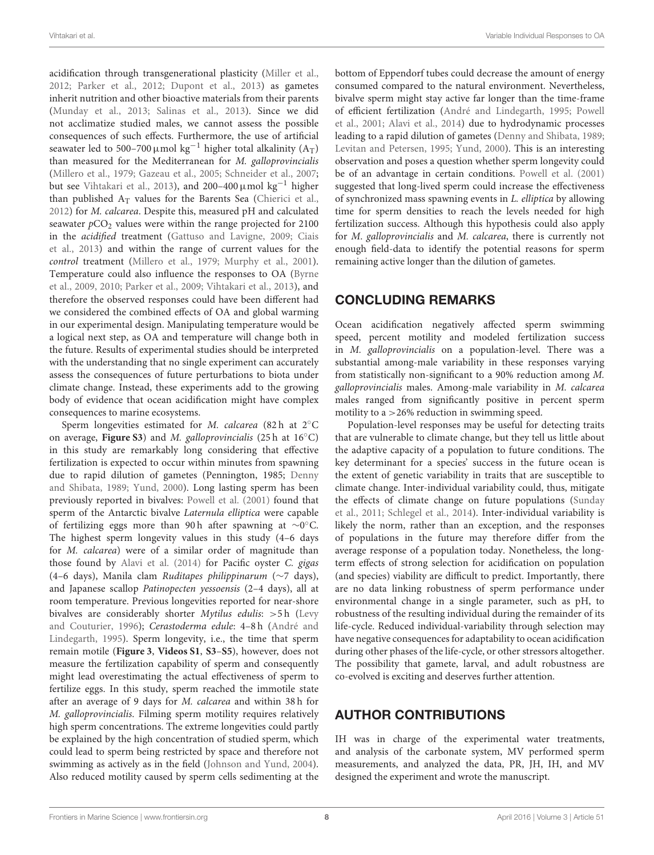acidification through transgenerational plasticity [\(Miller et al.,](#page-10-30) [2012;](#page-10-30) [Parker et al., 2012;](#page-10-31) [Dupont et al., 2013\)](#page-9-34) as gametes inherit nutrition and other bioactive materials from their parents [\(Munday et al., 2013;](#page-10-32) [Salinas et al., 2013\)](#page-10-33). Since we did not acclimatize studied males, we cannot assess the possible consequences of such effects. Furthermore, the use of artificial seawater led to 500–700 µmol kg<sup>-1</sup> higher total alkalinity (A<sub>T</sub>) than measured for the Mediterranean for M. galloprovincialis [\(Millero et al., 1979;](#page-10-34) [Gazeau et al., 2005;](#page-9-35) [Schneider et al., 2007;](#page-10-35) but see [Vihtakari et al., 2013\)](#page-10-15), and 200–400  $\mu$ mol kg<sup>-1</sup> higher than published  $A_T$  values for the Barents Sea [\(Chierici et al.,](#page-9-36) [2012\)](#page-9-36) for M. calcarea. Despite this, measured pH and calculated seawater  $pCO<sub>2</sub>$  values were within the range projected for 2100 in the acidified treatment [\(Gattuso and Lavigne, 2009;](#page-9-37) Ciais et al., [2013\)](#page-9-21) and within the range of current values for the control treatment [\(Millero et al., 1979;](#page-10-34) [Murphy et al., 2001\)](#page-10-36). Temperature could also influence the responses to OA (Byrne et al., [2009,](#page-8-19) [2010;](#page-9-38) [Parker et al., 2009;](#page-10-11) [Vihtakari et al., 2013\)](#page-10-15), and therefore the observed responses could have been different had we considered the combined effects of OA and global warming in our experimental design. Manipulating temperature would be a logical next step, as OA and temperature will change both in the future. Results of experimental studies should be interpreted with the understanding that no single experiment can accurately assess the consequences of future perturbations to biota under climate change. Instead, these experiments add to the growing body of evidence that ocean acidification might have complex consequences to marine ecosystems.

Sperm longevities estimated for *M. calcarea* (82 h at  $2°C$ on average, **[Figure S3](#page-8-14)**) and M. galloprovincialis (25 h at 16◦C) in this study are remarkably long considering that effective fertilization is expected to occur within minutes from spawning due to rapid dilution of gametes (Pennington, 1985; Denny and Shibata, [1989;](#page-9-9) [Yund, 2000\)](#page-10-4). Long lasting sperm has been previously reported in bivalves: [Powell et al. \(2001\)](#page-10-37) found that sperm of the Antarctic bivalve Laternula elliptica were capable of fertilizing eggs more than 90 h after spawning at ∼0°C. The highest sperm longevity values in this study (4–6 days for M. calcarea) were of a similar order of magnitude than those found by [Alavi et al. \(2014\)](#page-8-17) for Pacific oyster C. gigas (4–6 days), Manila clam Ruditapes philippinarum (∼7 days), and Japanese scallop Patinopecten yessoensis (2–4 days), all at room temperature. Previous longevities reported for near-shore bivalves are considerably shorter Mytilus edulis: >5 h (Levy and Couturier, [1996\)](#page-9-39); Cerastoderma edule: 4–8 h (André and Lindegarth, [1995\)](#page-8-20). Sperm longevity, i.e., the time that sperm remain motile (**[Figure 3](#page-6-0)**, **[Videos S1](#page-8-7)**, **[S3](#page-8-15)**–**[S5](#page-8-10)**), however, does not measure the fertilization capability of sperm and consequently might lead overestimating the actual effectiveness of sperm to fertilize eggs. In this study, sperm reached the immotile state after an average of 9 days for M. calcarea and within 38 h for M. galloprovincialis. Filming sperm motility requires relatively high sperm concentrations. The extreme longevities could partly be explained by the high concentration of studied sperm, which could lead to sperm being restricted by space and therefore not swimming as actively as in the field [\(Johnson and Yund, 2004\)](#page-9-14). Also reduced motility caused by sperm cells sedimenting at the bottom of Eppendorf tubes could decrease the amount of energy consumed compared to the natural environment. Nevertheless, bivalve sperm might stay active far longer than the time-frame of efficient fertilization [\(André and Lindegarth, 1995;](#page-8-20) Powell et al., [2001;](#page-10-37) [Alavi et al., 2014\)](#page-8-17) due to hydrodynamic processes leading to a rapid dilution of gametes [\(Denny and Shibata, 1989;](#page-9-9) [Levitan and Petersen, 1995;](#page-9-33) [Yund, 2000\)](#page-10-4). This is an interesting observation and poses a question whether sperm longevity could be of an advantage in certain conditions. [Powell et al. \(2001\)](#page-10-37) suggested that long-lived sperm could increase the effectiveness of synchronized mass spawning events in L. elliptica by allowing time for sperm densities to reach the levels needed for high fertilization success. Although this hypothesis could also apply for M. galloprovincialis and M. calcarea, there is currently not enough field-data to identify the potential reasons for sperm remaining active longer than the dilution of gametes.

### CONCLUDING REMARKS

Ocean acidification negatively affected sperm swimming speed, percent motility and modeled fertilization success in M. galloprovincialis on a population-level. There was a substantial among-male variability in these responses varying from statistically non-significant to a 90% reduction among M. galloprovincialis males. Among-male variability in M. calcarea males ranged from significantly positive in percent sperm motility to a  $>$  26% reduction in swimming speed.

Population-level responses may be useful for detecting traits that are vulnerable to climate change, but they tell us little about the adaptive capacity of a population to future conditions. The key determinant for a species' success in the future ocean is the extent of genetic variability in traits that are susceptible to climate change. Inter-individual variability could, thus, mitigate the effects of climate change on future populations (Sunday et al., [2011;](#page-10-1) [Schlegel et al., 2014\)](#page-10-25). Inter-individual variability is likely the norm, rather than an exception, and the responses of populations in the future may therefore differ from the average response of a population today. Nonetheless, the longterm effects of strong selection for acidification on population (and species) viability are difficult to predict. Importantly, there are no data linking robustness of sperm performance under environmental change in a single parameter, such as pH, to robustness of the resulting individual during the remainder of its life-cycle. Reduced individual-variability through selection may have negative consequences for adaptability to ocean acidification during other phases of the life-cycle, or other stressors altogether. The possibility that gamete, larval, and adult robustness are co-evolved is exciting and deserves further attention.

### AUTHOR CONTRIBUTIONS

IH was in charge of the experimental water treatments, and analysis of the carbonate system, MV performed sperm measurements, and analyzed the data, PR, JH, IH, and MV designed the experiment and wrote the manuscript.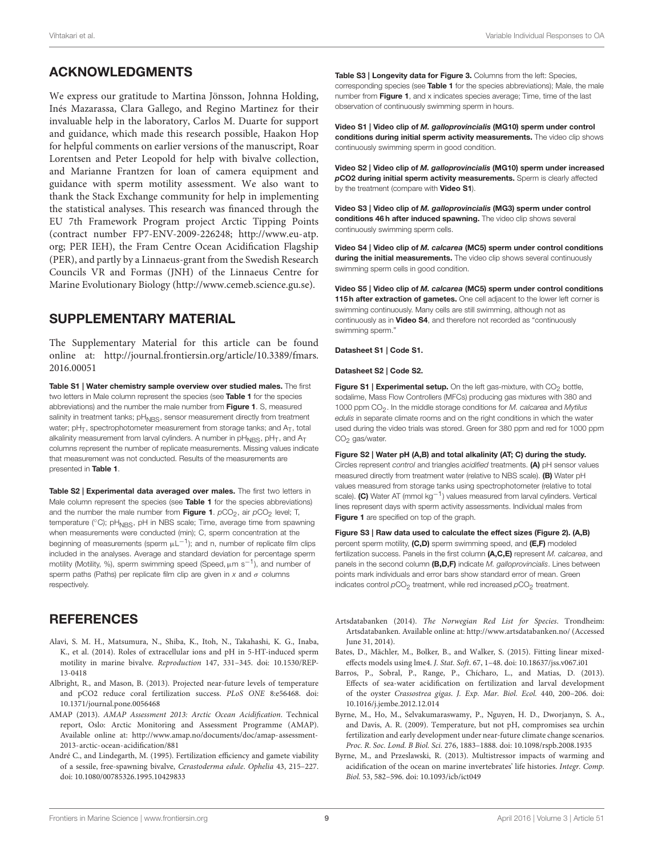### ACKNOWLEDGMENTS

We express our gratitude to Martina Jönsson, Johnna Holding, Inés Mazarassa, Clara Gallego, and Regino Martinez for their invaluable help in the laboratory, Carlos M. Duarte for support and guidance, which made this research possible, Haakon Hop for helpful comments on earlier versions of the manuscript, Roar Lorentsen and Peter Leopold for help with bivalve collection, and Marianne Frantzen for loan of camera equipment and guidance with sperm motility assessment. We also want to thank the Stack Exchange community for help in implementing the statistical analyses. This research was financed through the EU 7th Framework Program project Arctic Tipping Points (contract number FP7-ENV-2009-226248; [http://www.eu-atp.](http://www.eu-atp.org) [org;](http://www.eu-atp.org) PER IEH), the Fram Centre Ocean Acidification Flagship (PER), and partly by a Linnaeus-grant from the Swedish Research Councils VR and Formas (JNH) of the Linnaeus Centre for Marine Evolutionary Biology [\(http://www.cemeb.science.gu.se\)](http://www.cemeb.science.gu.se).

### SUPPLEMENTARY MATERIAL

The Supplementary Material for this article can be found [online at: http://journal.frontiersin.org/article/10.3389/fmars.](http://journal.frontiersin.org/article/10.3389/fmars.2016.00051) 2016.00051

<span id="page-8-5"></span>Table S1 | Water chemistry sample overview over studied males. The first two letters in Male column represent the species (see [Table 1](#page-2-0) for the species abbreviations) and the number the male number from [Figure 1](#page-1-0). S, measured salinity in treatment tanks; pH<sub>NBS</sub>, sensor measurement directly from treatment water; pH<sub>T</sub>, spectrophotometer measurement from storage tanks; and A<sub>T</sub>, total alkalinity measurement from larval cylinders. A number in p ${\sf H}_{\sf NBS}$ , p ${\sf H}_{\sf T}$ , and  ${\sf A}_{\sf T}$ columns represent the number of replicate measurements. Missing values indicate that measurement was not conducted. Results of the measurements are presented in [Table 1](#page-2-0).

<span id="page-8-4"></span>Table S2 | Experimental data averaged over males. The first two letters in Male column represent the species (see [Table 1](#page-2-0) for the species abbreviations) and the number the male number from **[Figure 1](#page-1-0)**.  $pCO_2$ , air  $pCO_2$  level; T, temperature ( $°C$ ); pH<sub>NBS</sub>, pH in NBS scale; Time, average time from spawning when measurements were conducted (min); C, sperm concentration at the beginning of measurements (sperm  $\mu L^{-1}$ ); and n, number of replicate film clips included in the analyses. Average and standard deviation for percentage sperm motility (Motility, %), sperm swimming speed (Speed, µm s−1), and number of sperm paths (Paths) per replicate film clip are given in x and  $\sigma$  columns respectively.

#### **REFERENCES**

- <span id="page-8-17"></span>Alavi, S. M. H., Matsumura, N., Shiba, K., Itoh, N., Takahashi, K. G., Inaba, K., et al. (2014). Roles of extracellular ions and pH in 5-HT-induced sperm motility in marine bivalve. Reproduction 147, 331–345. doi: 10.1530/REP-13-0418
- <span id="page-8-0"></span>Albright, R., and Mason, B. (2013). Projected near-future levels of temperature and pCO2 reduce coral fertilization success. PLoS ONE 8:e56468. doi: 10.1371/journal.pone.0056468
- <span id="page-8-2"></span>AMAP (2013). AMAP Assessment 2013: Arctic Ocean Acidification. Technical report, Oslo: Arctic Monitoring and Assessment Programme (AMAP). Available online at: [http://www.amap.no/documents/doc/amap-assessment-](http://www.amap.no/documents/doc/amap-assessment-2013-arctic-ocean-acidification/881)[2013-arctic-ocean-acidification/881](http://www.amap.no/documents/doc/amap-assessment-2013-arctic-ocean-acidification/881)
- <span id="page-8-20"></span>André C., and Lindegarth, M. (1995). Fertilization efficiency and gamete viability of a sessile, free-spawning bivalve, Cerastoderma edule. Ophelia 43, 215–227. doi: 10.1080/00785326.1995.10429833

<span id="page-8-16"></span>Table S3 | Longevity data for [Figure 3.](#page-6-0) Columns from the left: Species, corresponding species (see [Table 1](#page-2-0) for the species abbreviations); Male, the male number from [Figure 1](#page-1-0), and x indicates species average; Time, time of the last observation of continuously swimming sperm in hours.

<span id="page-8-7"></span>Video S1 | Video clip of *M. galloprovincialis* (MG10) sperm under control conditions during initial sperm activity measurements. The video clip shows continuously swimming sperm in good condition.

<span id="page-8-8"></span>Video S2 | Video clip of *M. galloprovincialis* (MG10) sperm under increased *p*CO2 during initial sperm activity measurements. Sperm is clearly affected by the treatment (compare with [Video S1](#page-8-7)).

<span id="page-8-15"></span>Video S3 | Video clip of *M. galloprovincialis* (MG3) sperm under control conditions 46 h after induced spawning. The video clip shows several continuously swimming sperm cells.

<span id="page-8-9"></span>Video S4 | Video clip of *M. calcarea* (MC5) sperm under control conditions during the initial measurements. The video clip shows several continuously swimming sperm cells in good condition.

<span id="page-8-10"></span>Video S5 | Video clip of *M. calcarea* (MC5) sperm under control conditions 115h after extraction of gametes. One cell adjacent to the lower left corner is swimming continuously. Many cells are still swimming, although not as continuously as in [Video S4](#page-8-9), and therefore not recorded as "continuously swimming sperm."

#### <span id="page-8-12"></span>Datasheet S1 | Code S1.

#### <span id="page-8-13"></span>Datasheet S2 | Code S2.

Figure S1 | Experimental setup. On the left gas-mixture, with  $CO<sub>2</sub>$  bottle, sodalime, Mass Flow Controllers (MFCs) producing gas mixtures with 380 and 1000 ppm CO<sub>2</sub>. In the middle storage conditions for M. calcarea and Mytilus edulis in separate climate rooms and on the right conditions in which the water used during the video trials was stored. Green for 380 ppm and red for 1000 ppm  $CO<sub>2</sub>$  gas/water.

<span id="page-8-6"></span>Figure S2 | Water pH (A,B) and total alkalinity (AT; C) during the study. Circles represent *control* and triangles *acidified* treatments. (A) pH sensor values measured directly from treatment water (relative to NBS scale). (B) Water pH values measured from storage tanks using spectrophotometer (relative to total scale). (C) Water AT (mmol  $kq^{-1}$ ) values measured from larval cylinders. Vertical lines represent days with sperm activity assessments. Individual males from [Figure 1](#page-1-0) are specified on top of the graph.

<span id="page-8-14"></span>Figure S3 | Raw data used to calculate the effect sizes [\(Figure](#page-5-0) 2). (A,B) percent sperm motility, (C,D) sperm swimming speed, and (E,F) modeled fertilization success. Panels in the first column (A,C,E) represent M. calcarea, and panels in the second column  $(B,D,F)$  indicate M. galloprovincialis. Lines between points mark individuals and error bars show standard error of mean. Green indicates control  $pCO_2$  treatment, while red increased  $pCO_2$  treatment.

- <span id="page-8-3"></span>Artsdatabanken (2014). The Norwegian Red List for Species. Trondheim: Artsdatabanken. Available online at:<http://www.artsdatabanken.no/> (Accessed June 31, 2014).
- <span id="page-8-11"></span>Bates, D., Mächler, M., Bolker, B., and Walker, S. (2015). Fitting linear mixedeffects models using lme4. J. Stat. Soft. 67, 1–48. doi: 10.18637/jss.v067.i01
- <span id="page-8-1"></span>Barros, P., Sobral, P., Range, P., Chícharo, L., and Matias, D. (2013). Effects of sea-water acidification on fertilization and larval development of the oyster Crassostrea gigas. J. Exp. Mar. Biol. Ecol. 440, 200–206. doi: 10.1016/j.jembe.2012.12.014
- <span id="page-8-19"></span>Byrne, M., Ho, M., Selvakumaraswamy, P., Nguyen, H. D., Dworjanyn, S. A., and Davis, A. R. (2009). Temperature, but not pH, compromises sea urchin fertilization and early development under near-future climate change scenarios. Proc. R. Soc. Lond. B Biol. Sci. 276, 1883–1888. doi: 10.1098/rspb.2008.1935
- <span id="page-8-18"></span>Byrne, M., and Przeslawski, R. (2013). Multistressor impacts of warming and acidification of the ocean on marine invertebrates' life histories. Integr. Comp. Biol. 53, 582–596. doi: 10.1093/icb/ict049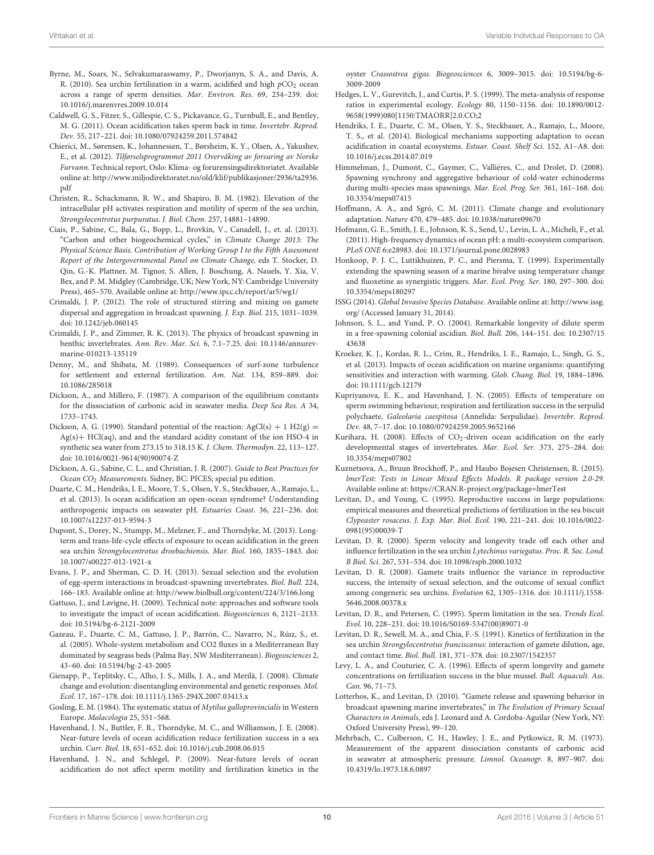- <span id="page-9-38"></span>Byrne, M., Soars, N., Selvakumaraswamy, P., Dworjanyn, S. A., and Davis, A. R. (2010). Sea urchin fertilization in a warm, acidified and high  $pCO_2$  ocean across a range of sperm densities. Mar. Environ. Res. 69, 234–239. doi: 10.1016/j.marenvres.2009.10.014
- <span id="page-9-17"></span>Caldwell, G. S., Fitzer, S., Gillespie, C. S., Pickavance, G., Turnbull, E., and Bentley, M. G. (2011). Ocean acidification takes sperm back in time. Invertebr. Reprod. Dev. 55, 217–221. doi: 10.1080/07924259.2011.574842
- <span id="page-9-36"></span>Chierici, M., Sørensen, K., Johannessen, T., Børsheim, K. Y., Olsen, A., Yakushev, E., et al. (2012). Tilførselsprogrammet 2011 Overvåking av forsuring av Norske Farvann. Technical report, Oslo: Klima- og forurensingsdirektoriatet. Available online at: [http://www.miljodirektoratet.no/old/klif/publikasjoner/2936/ta2936.](http://www.miljodirektoratet.no/old/klif/publikasjoner/2936/ta2936.pdf) [pdf](http://www.miljodirektoratet.no/old/klif/publikasjoner/2936/ta2936.pdf)
- <span id="page-9-32"></span>Christen, R., Schackmann, R. W., and Shapiro, B. M. (1982). Elevation of the intracellular pH activates respiration and motility of sperm of the sea urchin, Strongylocentrotus purpuratus. J. Biol. Chem. 257, 14881–14890.
- <span id="page-9-21"></span>Ciais, P., Sabine, C., Bala, G., Bopp, L., Brovkin, V., Canadell, J., et. al. (2013). "Carbon and other biogeochemical cycles," in Climate Change 2013: The Physical Science Basis. Contribution of Working Group I to the Fifth Assessment Report of the Intergovernmental Panel on Climate Change, eds T. Stocker, D. Qin, G.-K. Plattner, M. Tignor, S. Allen, J. Boschung, A. Nauels, Y. Xia, V. Bex, and P. M. Midgley (Cambridge, UK; New York, NY: Cambridge University Press), 465–570. Available online at:<http://www.ipcc.ch/report/ar5/wg1/>
- <span id="page-9-7"></span>Crimaldi, J. P. (2012). The role of structured stirring and mixing on gamete dispersal and aggregation in broadcast spawning. J. Exp. Biol. 215, 1031–1039. doi: 10.1242/jeb.060145
- <span id="page-9-8"></span>Crimaldi, J. P., and Zimmer, R. K. (2013). The physics of broadcast spawning in benthic invertebrates. Ann. Rev. Mar. Sci. 6, 7.1–7.25. doi: 10.1146/annurevmarine-010213-135119
- <span id="page-9-9"></span>Denny, M., and Shibata, M. (1989). Consequences of surf-zone turbulence for settlement and external fertilization. Am. Nat. 134, 859–889. doi: 10.1086/285018
- <span id="page-9-27"></span>Dickson, A., and Millero, F. (1987). A comparison of the equilibrium constants for the dissociation of carbonic acid in seawater media. Deep Sea Res. A 34, 1733–1743.
- <span id="page-9-28"></span>Dickson, A. G. (1990). Standard potential of the reaction: AgCl(s) + 1 H2(g) = Ag(s)+ HCl(aq), and and the standard acidity constant of the ion HSO-4 in synthetic sea water from 273.15 to 318.15 K. J. Chem. Thermodyn. 22, 113–127. doi: 10.1016/0021-9614(90)90074-Z
- <span id="page-9-25"></span>Dickson, A. G., Sabine, C. L., and Christian, J. R. (2007). Guide to Best Practices for Ocean CO<sub>2</sub> Measurements. Sidney, BC: PICES; special pu edition.
- <span id="page-9-22"></span>Duarte, C. M., Hendriks, I. E., Moore, T. S., Olsen, Y. S., Steckbauer, A., Ramajo, L., et al. (2013). Is ocean acidification an open-ocean syndrome? Understanding anthropogenic impacts on seawater pH. Estuaries Coast. 36, 221–236. doi: 10.1007/s12237-013-9594-3
- <span id="page-9-34"></span>Dupont, S., Dorey, N., Stumpp, M., Melzner, F., and Thorndyke, M. (2013). Longterm and trans-life-cycle effects of exposure to ocean acidification in the green sea urchin Strongylocentrotus droebachiensis. Mar. Biol. 160, 1835–1843. doi: 10.1007/s00227-012-1921-x
- <span id="page-9-6"></span>Evans, J. P., and Sherman, C. D. H. (2013). Sexual selection and the evolution of egg-sperm interactions in broadcast-spawning invertebrates. Biol. Bull. 224, 166–183. Available online at:<http://www.biolbull.org/content/224/3/166.long>
- <span id="page-9-37"></span>Gattuso, J., and Lavigne, H. (2009). Technical note: approaches and software tools to investigate the impact of ocean acidification. Biogeosciences 6, 2121–2133. doi: 10.5194/bg-6-2121-2009
- <span id="page-9-35"></span>Gazeau, F., Duarte, C. M., Gattuso, J. P., Barrón, C., Navarro, N., Rúız, S., et. al. (2005). Whole-system metabolism and CO2 fluxes in a Mediterranean Bay dominated by seagrass beds (Palma Bay, NW Mediterranean). Biogeosciences 2, 43–60. doi: 10.5194/bg-2-43-2005
- <span id="page-9-0"></span>Gienapp, P., Teplitsky, C., Alho, J. S., Mills, J. A., and Merilä, J. (2008). Climate change and evolution: disentangling environmental and genetic responses. Mol. Ecol. 17, 167–178. doi: 10.1111/j.1365-294X.2007.03413.x
- <span id="page-9-18"></span>Gosling, E. M. (1984). The systematic status of Mytilus galloprovincialis in Western Europe. Malacologia 25, 551–568.
- <span id="page-9-16"></span>Havenhand, J. N., Buttler, F. R., Thorndyke, M. C., and Williamson, J. E. (2008). Near-future levels of ocean acidification reduce fertilization success in a sea urchin. Curr. Biol. 18, 651–652. doi: 10.1016/j.cub.2008.06.015
- <span id="page-9-31"></span>Havenhand, J. N., and Schlegel, P. (2009). Near-future levels of ocean acidification do not affect sperm motility and fertilization kinetics in the

oyster Crassostrea gigas. Biogeosciences 6, 3009–3015. doi: 10.5194/bg-6- 3009-2009

- <span id="page-9-30"></span>Hedges, L. V., Gurevitch, J., and Curtis, P. S. (1999). The meta-analysis of response ratios in experimental ecology. Ecology 80, 1150–1156. doi: 10.1890/0012- 9658(1999)080[1150:TMAORR]2.0.CO;2
- <span id="page-9-23"></span>Hendriks, I. E., Duarte, C. M., Olsen, Y. S., Steckbauer, A., Ramajo, L., Moore, T. S., et al. (2014). Biological mechanisms supporting adaptation to ocean acidification in coastal ecosystems. Estuar. Coast. Shelf Sci. 152, A1–A8. doi: 10.1016/j.ecss.2014.07.019
- <span id="page-9-11"></span>Himmelman, J., Dumont, C., Gaymer, C., Valliéres, C., and Drolet, D. (2008). Spawning synchrony and aggregative behaviour of cold-water echinoderms during multi-species mass spawnings. Mar. Ecol. Prog. Ser. 361, 161–168. doi: 10.3354/meps07415
- <span id="page-9-1"></span>Hoffmann, A. A., and Sgró, C. M. (2011). Climate change and evolutionary adaptation. Nature 470, 479–485. doi: 10.1038/nature09670
- <span id="page-9-20"></span>Hofmann, G. E., Smith, J. E., Johnson, K. S., Send, U., Levin, L. A., Micheli, F., et al. (2011). High-frequency dynamics of ocean pH: a multi-ecosystem comparison. PLoS ONE 6:e28983. doi: 10.1371/journal.pone.0028983
- <span id="page-9-24"></span>Honkoop, P. J. C., Luttikhuizen, P. C., and Piersma, T. (1999). Experimentally extending the spawning season of a marine bivalve using temperature change and fluoxetine as synergistic triggers. Mar. Ecol. Prog. Ser. 180, 297–300. doi: 10.3354/meps180297
- <span id="page-9-19"></span>ISSG (2014). Global Invasive Species Database. Available online at: [http://www.issg.](http://www.issg.org/) [org/](http://www.issg.org/) (Accessed January 31, 2014).
- <span id="page-9-14"></span>Johnson, S. L., and Yund, P. O. (2004). Remarkable longevity of dilute sperm in a free-spawning colonial ascidian. Biol. Bull. 206, 144–151. doi: 10.2307/15 43638
- <span id="page-9-3"></span>Kroeker, K. J., Kordas, R. L., Crim, R., Hendriks, I. E., Ramajo, L., Singh, G. S., et al. (2013). Impacts of ocean acidification on marine organisms: quantifying sensitivities and interaction with warming. Glob. Chang. Biol. 19, 1884–1896. doi: 10.1111/gcb.12179
- <span id="page-9-15"></span>Kupriyanova, E. K., and Havenhand, J. N. (2005). Effects of temperature on sperm swimming behaviour, respiration and fertilization success in the serpulid polychaete, Galeolaria caespitosa (Annelida: Serpulidae). Invertebr. Reprod. Dev. 48, 7–17. doi: 10.1080/07924259.2005.9652166
- <span id="page-9-2"></span>Kurihara, H. (2008). Effects of CO<sub>2</sub>-driven ocean acidification on the early developmental stages of invertebrates. Mar. Ecol. Ser. 373, 275–284. doi: 10.3354/meps07802
- <span id="page-9-29"></span>Kuznetsova, A., Bruun Brockhoff, P., and Haubo Bojesen Christensen, R. (2015). lmerTest: Tests in Linear Mixed Effects Models. R package version 2.0-29. Available online at:<https://CRAN.R-project.org/package=lmerTest>
- <span id="page-9-10"></span>Levitan, D., and Young, C. (1995). Reproductive success in large populations: empirical measures and theoretical predictions of fertilization in the sea biscuit Clypeaster rosaceus. J. Exp. Mar. Biol. Ecol. 190, 221–241. doi: 10.1016/0022- 0981(95)00039-T
- <span id="page-9-13"></span>Levitan, D. R. (2000). Sperm velocity and longevity trade off each other and influence fertilization in the sea urchin Lytechinus variegatus. Proc. R. Soc. Lond. B Biol. Sci. 267, 531–534. doi: 10.1098/rspb.2000.1032
- <span id="page-9-4"></span>Levitan, D. R. (2008). Gamete traits influence the variance in reproductive success, the intensity of sexual selection, and the outcome of sexual conflict among congeneric sea urchins. Evolution 62, 1305–1316. doi: 10.1111/j.1558- 5646.2008.00378.x
- <span id="page-9-33"></span>Levitan, D. R., and Petersen, C. (1995). Sperm limitation in the sea. Trends Ecol. Evol. 10, 228–231. doi: 10.1016/S0169-5347(00)89071-0
- <span id="page-9-12"></span>Levitan, D. R., Sewell, M. A., and Chia, F.-S. (1991). Kinetics of fertilization in the sea urchin Strongylocentrotus franciscanus: interaction of gamete dilution, age, and contact time. Biol. Bull. 181, 371–378. doi: 10.2307/1542357
- <span id="page-9-39"></span>Levy, L. A., and Couturier, C. A. (1996). Effects of sperm longevity and gamete concentrations on fertilization success in the blue mussel. Bull. Aquacult. Ass. Can. 96, 71–73.
- <span id="page-9-5"></span>Lotterhos, K., and Levitan, D. (2010). "Gamete release and spawning behavior in broadcast spawning marine invertebrates," in The Evolution of Primary Sexual Characters in Animals, eds J. Leonard and A. Cordoba-Aguilar (New York, NY: Oxford University Press), 99–120.
- <span id="page-9-26"></span>Mehrbach, C., Culberson, C. H., Hawley, J. E., and Pytkowicz, R. M. (1973). Measurement of the apparent dissociation constants of carbonic acid in seawater at atmospheric pressure. Limnol. Oceanogr. 8, 897–907. doi: 10.4319/lo.1973.18.6.0897